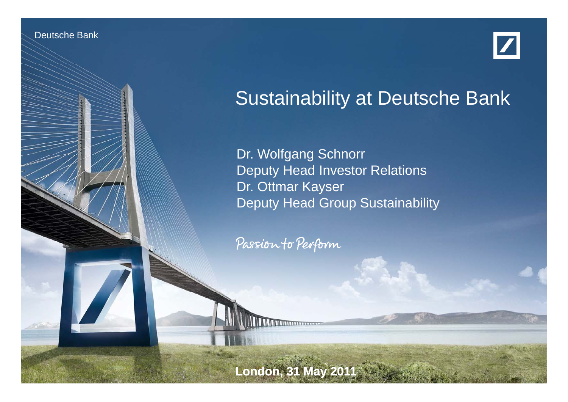Deutsche Banken Banken

Investor Relations 05/11



## Sustainability at Deutsche Bank

Dr. Wolfgang Schnorr Deputy Head Investor Relations Dr. Ottmar Kayser Deputy Head Group Sustainability

Passion to Perform

**London, 31 May 2011**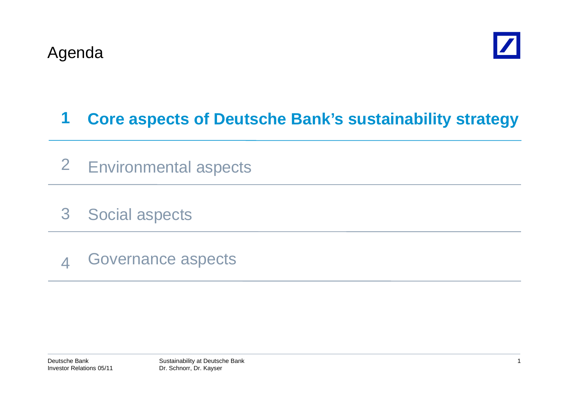

#### **1Core aspects of Deutsche Bank's sustainability strategy**

- 2 Environmental aspects
- 3Social aspects
- 4Governance aspects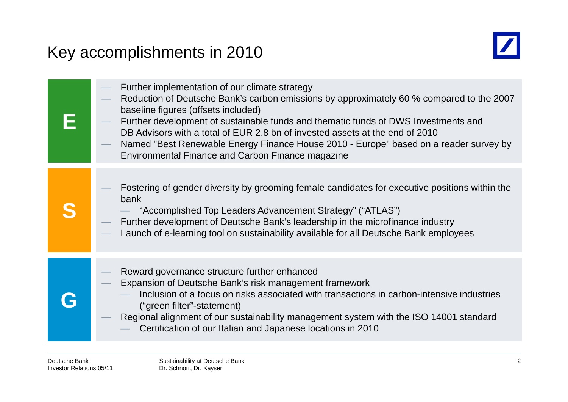### Key accomplishments in 2010



| Further implementation of our climate strategy<br>Reduction of Deutsche Bank's carbon emissions by approximately 60 % compared to the 2007<br>baseline figures (offsets included)<br>Further development of sustainable funds and thematic funds of DWS Investments and<br>DB Advisors with a total of EUR 2.8 bn of invested assets at the end of 2010<br>Named "Best Renewable Energy Finance House 2010 - Europe" based on a reader survey by<br>Environmental Finance and Carbon Finance magazine |
|-------------------------------------------------------------------------------------------------------------------------------------------------------------------------------------------------------------------------------------------------------------------------------------------------------------------------------------------------------------------------------------------------------------------------------------------------------------------------------------------------------|
| Fostering of gender diversity by grooming female candidates for executive positions within the<br>bank<br>"Accomplished Top Leaders Advancement Strategy" ("ATLAS")<br>Further development of Deutsche Bank's leadership in the microfinance industry<br>Launch of e-learning tool on sustainability available for all Deutsche Bank employees                                                                                                                                                        |
| Reward governance structure further enhanced<br>Expansion of Deutsche Bank's risk management framework<br>Inclusion of a focus on risks associated with transactions in carbon-intensive industries<br>("green filter"-statement)<br>Regional alignment of our sustainability management system with the ISO 14001 standard<br>Certification of our Italian and Japanese locations in 2010                                                                                                            |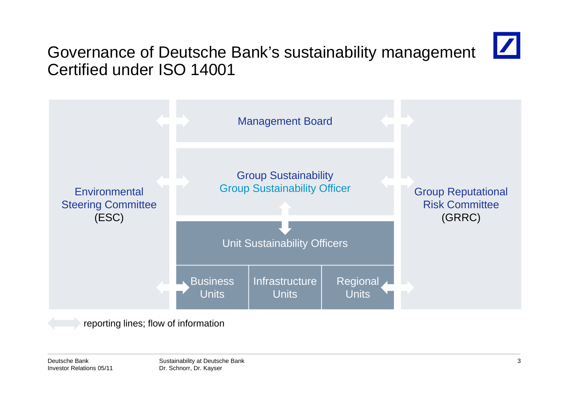# $\boldsymbol{Z}$

### Governance of Deutsche Bank's sustainability management Certified under ISO 14001



reporting lines; flow of information

Deutsche BankInvestor Relations 05/11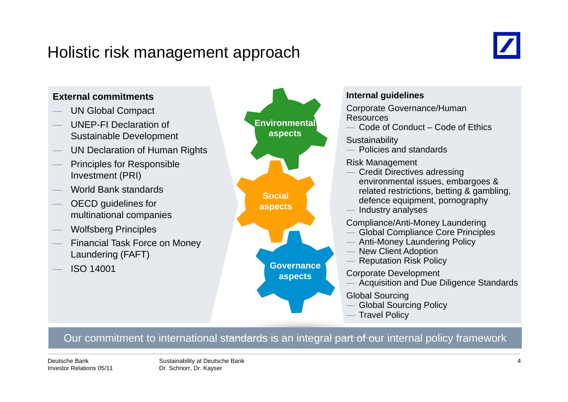#### Holistic risk management approach



#### **External commitments**UN Global Compact **Internal guidelines EXECTE CORPORATION CONSUMING CORPORATION** Corporate Governance/Human UNEP-FI Declaration of Sustainable Development  $\,$  UN Declaration of Human Rights Resources Code of Conduct – Code of Ethics **Sustainability**  Policies and standards **Environmental aspects** Principles for Responsible Investment (PRI) World Bank standards  $-$  OECD guidelines for Risk Management Credit Directives adressing environmental issues, embargoes & related restrictions, betting & gambling, **Social Social Exercise Exercise** Politicians, Social **Social Social Social Social Social Social** Section **Social** Section **Social** Section **Section** Section **Section** Section **Section** Section **Section** Section **Secti** multinational companies Wolfsberg Principles — Financial Task Force on Money<br>Laundering (FAFT) Industry analyses Compliance/Anti-Money Laundering Global Compliance Core Principles Anti-Money Laundering Policy **aspects** ISO 14001 New Client Adoption Reputation Risk Policy Corporate Development Acquisition and Due Diligence Standards **Governance aspects** Global Sourcing Global Sourcing Policy Travel Policy

#### Our commitment to international standards is an integral part of our internal policy framework

Deutsche BankInvestor Relations 05/11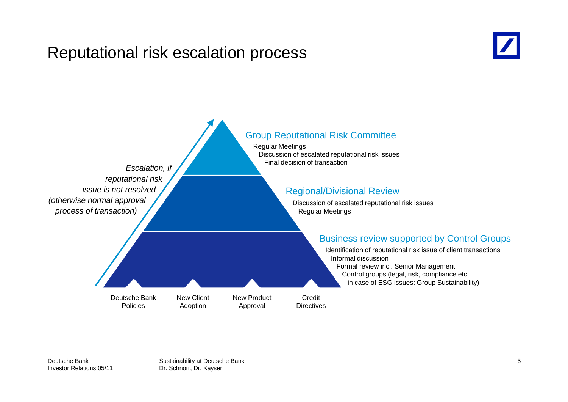#### Reputational risk escalation process



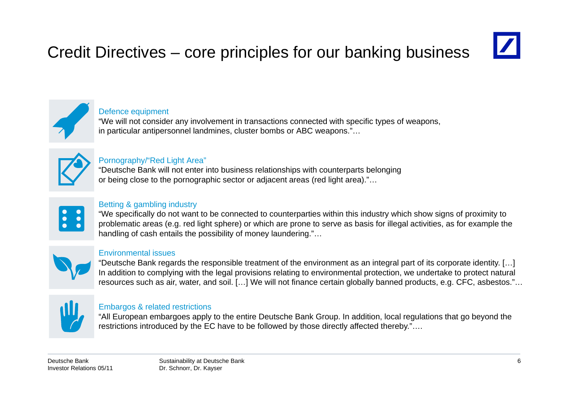## Credit Directives – core principles for our banking business



#### Defence equipment

"We will not consider any involvement in transactions connected with specific types of weapons, in particular antipersonnel landmines, cluster bombs or ABC weapons."…



#### Pornography/"Red Light Area"

"Deutsche Bank will not enter into business relationships with counterparts belonging or being close to the pornographic sector or adjacent areas (red light area)."…



#### Betting & gambling industry

"We specifically do not want to be connected to counterparties within this industry which show signs of proximity to problematic areas (e.g. red light sphere) or which are prone to serve as basis for illegal activities, as for example the handling of cash entails the possibility of money laundering."…



#### Environmental issues

"Deutsche Bank regards the responsible treatment of the environment as an integral part of its corporate identity. […] In addition to complying with the legal provisions relating to environmental protection, we undertake to protect natural resources such as air, water, and soil. […] We will not finance certain globally banned products, e.g. CFC, asbestos."…



#### Embargos & related restrictions

"All European embargoes apply to the entire Deutsche Bank Group. In addition, local regulations that go beyond the restrictions introduced by the EC have to be followed by those directly affected thereby."….

Deutsche BankInvestor Relations 05/11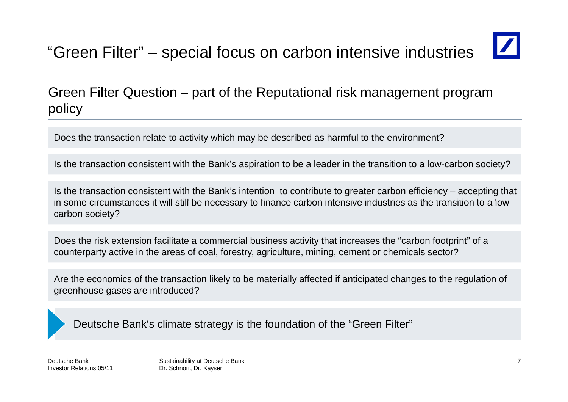# "Green Filter" – special focus on carbon intensive industries

Green Filter Question – part of the Reputational risk management program policy

Does the transaction relate to activity which may be described as harmful to the environment?

Is the transaction consistent with the Bank's aspiration to be a leader in the transition to a low-carbon society?

Is the transaction consistent with the Bank's intention to contribute to greater carbon efficiency – accepting that in some circumstances it will still be necessary to finance carbon intensive industries as the transition to a low carbon society?

Does the risk extension facilitate a commercial business activity that increases the "carbon footprint" of a counterparty active in the areas of coal, forestry, agriculture, mining, cement or chemicals sector?

Are the economics of the transaction likely to be materially affected if anticipated changes to the regulation of greenhouse gases are introduced?

Deutsche Bank's climate strategy is the foundation of the "Green Filter"

Deutsche BankInvestor Relations 05/11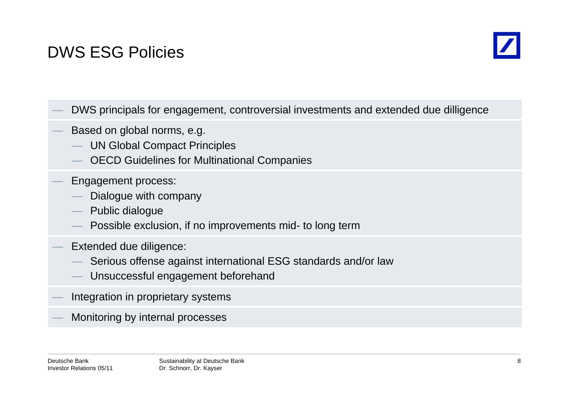## DWS ESG Policies



- DWS principals for engagement, controversial investments and extended due dilligence
- Based on global norms, e.g.
	- UN Global Compact Principles
	- OECD Guidelines for Multinational Companies
- Engagement process:
	- Dialogue with company
	- Public dialogue
	- Possible exclusion, if no improvements mid- to long term
- Extended due diligence:
	- Serious offense against international ESG standards and/or law
	- Unsuccessful engagement beforehand
- Integration in proprietary systems
- Monitoring by internal processes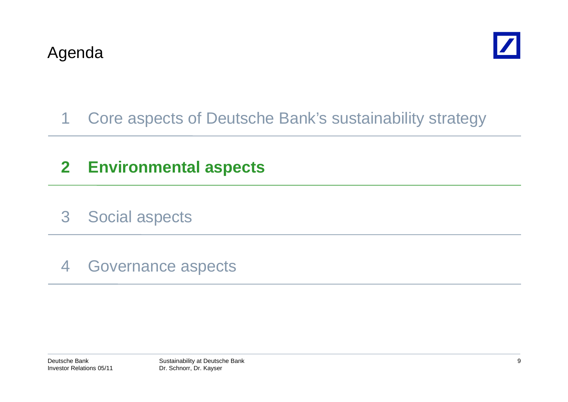

### 1 Core aspects of Deutsche Bank's sustainability strategy

### **2 Environmental aspects**

- 3 Social aspects
- 4 Governance aspects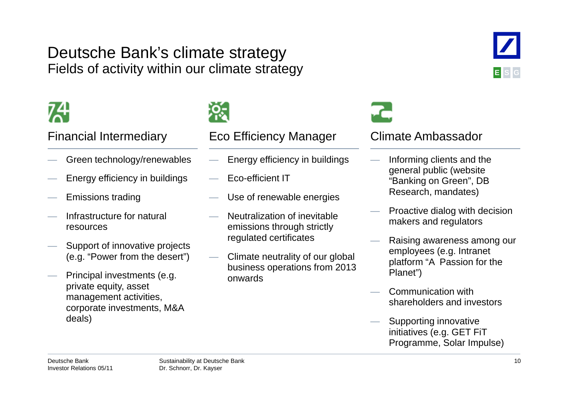#### Deutsche Bank's climate strategy Fields of activity within our climate strategy

- Green technology/renewables
- Energy efficiency in buildings
- $-$  Emissions trading
- Infrastructure for natural resources
- Support of innovative projects (e.g. "Power from the desert")
- Principal investments (e.g. private equity, asset private equity, asset<br>management activities,<br>which management activities, corporate investments, M&A deals)



#### Financial Intermediary Eco Efficiency Manager Climate Ambassador

- Energy efficiency in buildings
- Eco-efficient IT
- $-$  Use of renewable energies
- Neutralization of inevitable emissions through strictly regulated certificates
- Climate neutrality of our global business operations from 2013 onwards

- Informing clients and the general public (website "Banking on Green", DB Research, mandates)
- Proactive dialog with decision makers and regulators
- Raising awareness among our employees (e.g. Intranet platform "A Passion for the Planet")
- shareholders and investors
- Supporting innovative initiatives (e.g. GET FiT Programme, Solar Impulse)

Deutsche BankInvestor Relations 05/11 **ESG**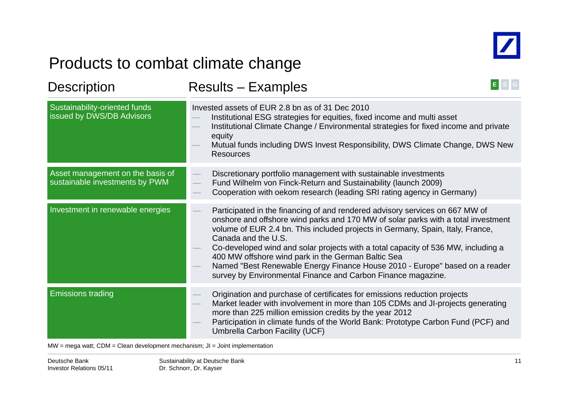

### Products to combat climate change

| <b>Description</b>                                                 | E<br><b>Results - Examples</b>                                                                                                                                                                                                                                                                                                                                                                                                                                                                                                                                       |  |  |  |
|--------------------------------------------------------------------|----------------------------------------------------------------------------------------------------------------------------------------------------------------------------------------------------------------------------------------------------------------------------------------------------------------------------------------------------------------------------------------------------------------------------------------------------------------------------------------------------------------------------------------------------------------------|--|--|--|
| Sustainability-oriented funds<br>issued by DWS/DB Advisors         | Invested assets of EUR 2.8 bn as of 31 Dec 2010<br>Institutional ESG strategies for equities, fixed income and multi asset<br>Institutional Climate Change / Environmental strategies for fixed income and private<br>equity<br>Mutual funds including DWS Invest Responsibility, DWS Climate Change, DWS New<br><b>Resources</b>                                                                                                                                                                                                                                    |  |  |  |
| Asset management on the basis of<br>sustainable investments by PWM | Discretionary portfolio management with sustainable investments<br>Fund Wilhelm von Finck-Return and Sustainability (launch 2009)<br>Cooperation with oekom research (leading SRI rating agency in Germany)                                                                                                                                                                                                                                                                                                                                                          |  |  |  |
| Investment in renewable energies                                   | Participated in the financing of and rendered advisory services on 667 MW of<br>onshore and offshore wind parks and 170 MW of solar parks with a total investment<br>volume of EUR 2.4 bn. This included projects in Germany, Spain, Italy, France,<br>Canada and the U.S.<br>Co-developed wind and solar projects with a total capacity of 536 MW, including a<br>400 MW offshore wind park in the German Baltic Sea<br>Named "Best Renewable Energy Finance House 2010 - Europe" based on a reader<br>survey by Environmental Finance and Carbon Finance magazine. |  |  |  |
| <b>Emissions trading</b>                                           | Origination and purchase of certificates for emissions reduction projects<br>Market leader with involvement in more than 105 CDMs and JI-projects generating<br>more than 225 million emission credits by the year 2012<br>Participation in climate funds of the World Bank: Prototype Carbon Fund (PCF) and<br>Umbrella Carbon Facility (UCF)                                                                                                                                                                                                                       |  |  |  |

MW = mega watt; CDM = Clean development mechanism; JI = Joint implementation

Deutsche BankInvestor Relations 05/11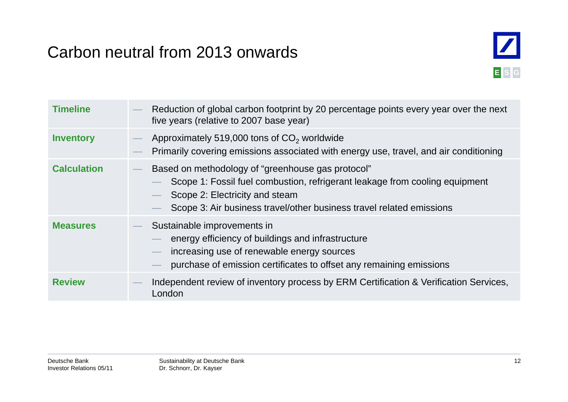### Carbon neutral from 2013 onwards



| <b>Timeline</b>    | Reduction of global carbon footprint by 20 percentage points every year over the next<br>five years (relative to 2007 base year)                                                                                                           |
|--------------------|--------------------------------------------------------------------------------------------------------------------------------------------------------------------------------------------------------------------------------------------|
| <b>Inventory</b>   | Approximately 519,000 tons of CO <sub>2</sub> worldwide<br>Primarily covering emissions associated with energy use, travel, and air conditioning                                                                                           |
| <b>Calculation</b> | Based on methodology of "greenhouse gas protocol"<br>Scope 1: Fossil fuel combustion, refrigerant leakage from cooling equipment<br>Scope 2: Electricity and steam<br>Scope 3: Air business travel/other business travel related emissions |
| <b>Measures</b>    | Sustainable improvements in<br>energy efficiency of buildings and infrastructure<br>increasing use of renewable energy sources<br>purchase of emission certificates to offset any remaining emissions                                      |
| <b>Review</b>      | Independent review of inventory process by ERM Certification & Verification Services,<br>London                                                                                                                                            |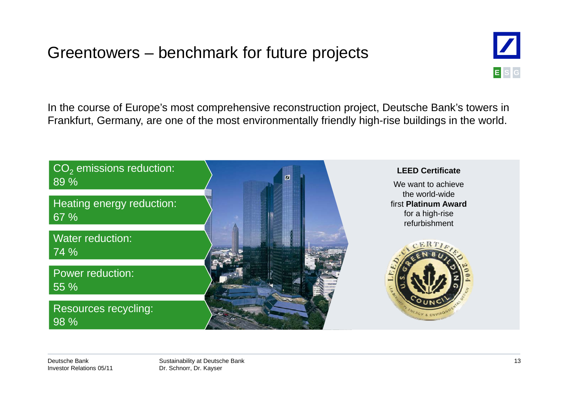### Greentowers – benchmark for future projects



In the course of Europe's most comprehensive reconstruction project, Deutsche Bank's towers in Frankfurt, Germany, are one of the most environmentally friendly high-rise buildings in the world.



Deutsche BankInvestor Relations 05/11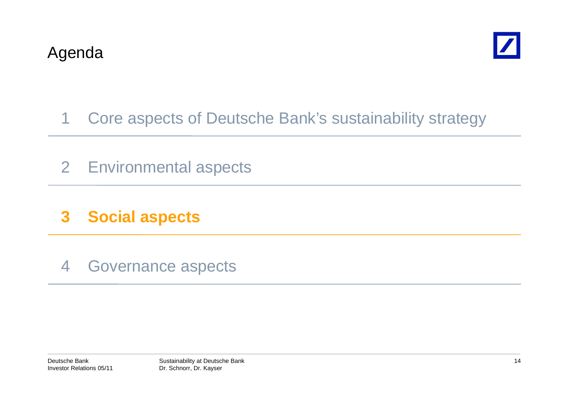

### 1 Core aspects of Deutsche Bank's sustainability strategy

- 2 Environmental aspects
- **3 Social aspects**
- 4 Governance aspects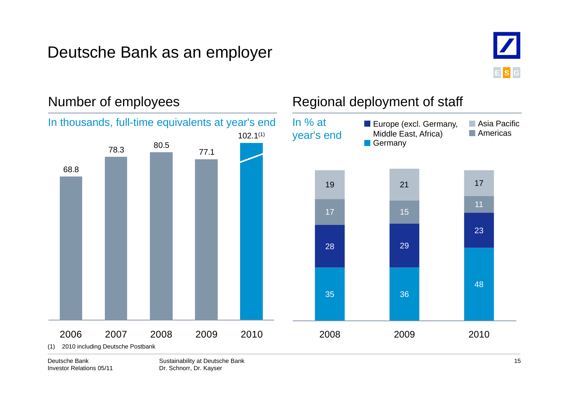### Deutsche Bank as an employer



#### Number of employees Regional deployment of staff 78.3 80.5 77.1In % at year's end **Asia Pacific Americas E** Europe (excl. Germany, Middle East, Africa) **Germany** In thousands, full-time equivalents at year's end 102.1(1) 68.819 21 17 28 29 2317 151135 36 482006 2007 2008 2009 2010 2008 2009 009 0 02010(1) 2010 including Deutsche Postbank

Deutsche BankInvestor Relations 05/11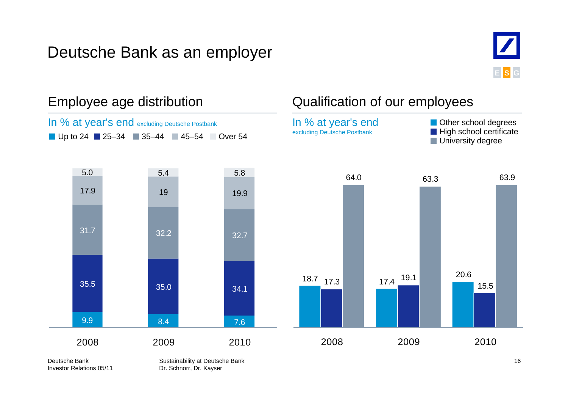### Deutsche Bank as an employer





Investor Relations 05/11

Dr. Schnorr, Dr. Kayser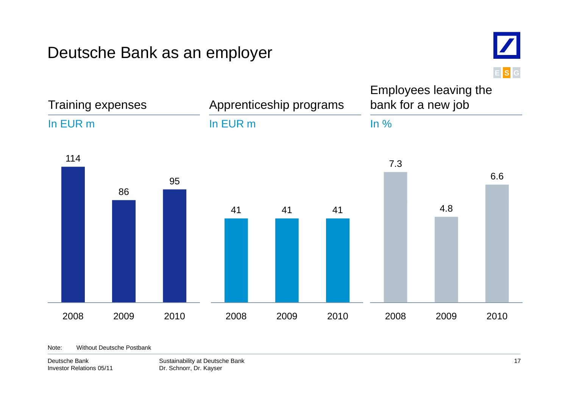#### Deutsche Bank as an employer



Trainin g ex g expenses Apprenticeship programs Employees leaving the bank for a new job In EUR mIn EUR mj In %11486957.36.641 41 41 4.8 2008 2009 20102008 2009 2010 2008 2009 2010

Note: Without Deutsche Postbank

Deutsche BankInvestor Relations 05/11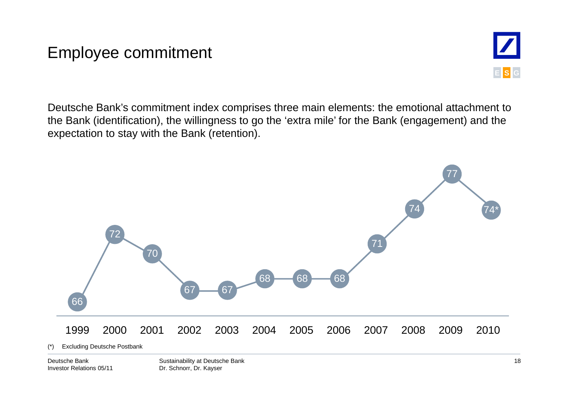### Employee commitment



Deutsche Bank's commitment index comprises three main elements: the emotional attachment to the Bank (identification), the willingness to go the 'extra mile' for the Bank (engagement) and the expectation to stay with the Bank (retention).



Deutsche BankInvestor Relations 05/11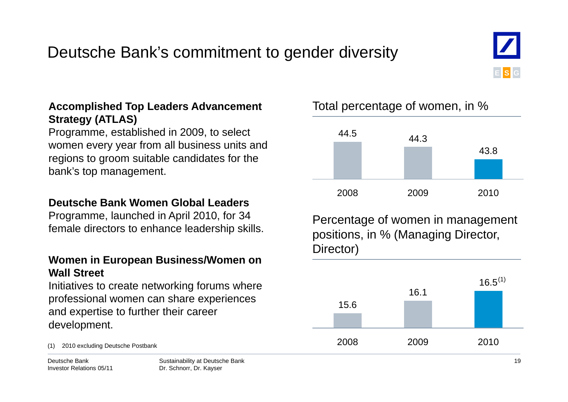### Deutsche Bank's commitment to gender diversity



#### **Accomplished Top Leaders Advancement** Total percentage of women, in % **Strategy (ATLAS)**

Programme, established in 2009, to select women every year from all business units and regions to groom suitable candidates for the bank's top management.

#### **Deutsche Bank Women Global Leaders Global**

Programme, launched in April 2010, for 34

#### **Women in European Business/Women on Wall Street**

Initiatives to create networking forums where professional women can share experiences and expertise to further their career development.

Deutsche BankInvestor Relations 05/11 Dr. Schnorr, Dr. Kayser



Frogramme, launched in April 2010, for 34 Percentage of women in management female directors to enhance leadership skills. Director)



#### Total percentage of women, in %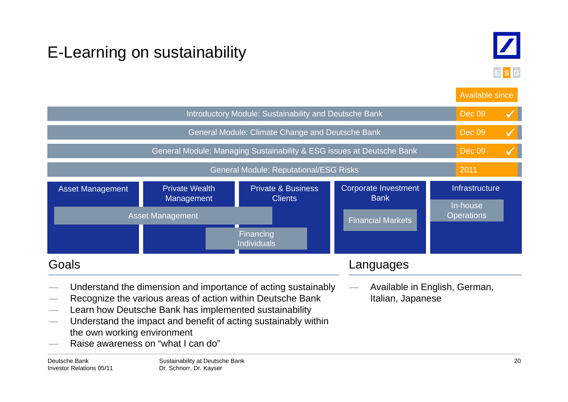## E-Learning on sustainability



**E S G**

Available since

|                                                                                                                                                                                                                                                                                                                                                          |                                     |                                                         |                                            | Avaliable Sirice              |
|----------------------------------------------------------------------------------------------------------------------------------------------------------------------------------------------------------------------------------------------------------------------------------------------------------------------------------------------------------|-------------------------------------|---------------------------------------------------------|--------------------------------------------|-------------------------------|
| Introductory Module: Sustainability and Deutsche Bank                                                                                                                                                                                                                                                                                                    |                                     |                                                         |                                            |                               |
|                                                                                                                                                                                                                                                                                                                                                          |                                     | <b>General Module: Climate Change and Deutsche Bank</b> |                                            | <b>Dec 09</b>                 |
| General Module: Managing Sustainability & ESG issues at Deutsche Bank                                                                                                                                                                                                                                                                                    |                                     |                                                         |                                            | <b>Dec 09</b>                 |
|                                                                                                                                                                                                                                                                                                                                                          |                                     | <b>General Module: Reputational/ESG Risks</b>           |                                            | 2011                          |
| <b>Asset Management</b>                                                                                                                                                                                                                                                                                                                                  | <b>Private Wealth</b><br>Management | <b>Private &amp; Business</b><br><b>Clients</b>         | <b>Corporate Investment</b><br><b>Bank</b> | Infrastructure<br>In-house    |
|                                                                                                                                                                                                                                                                                                                                                          | <b>Asset Management</b>             | Financing<br><b>Individuals</b>                         | <b>Financial Markets</b>                   | <b>Operations</b>             |
| Goals                                                                                                                                                                                                                                                                                                                                                    |                                     |                                                         | Languages                                  |                               |
| Understand the dimension and importance of acting sustainably<br>Recognize the various areas of action within Deutsche Bank<br>Learn how Deutsche Bank has implemented sustainability<br>Understand the impact and benefit of acting sustainably within<br>$\overline{\phantom{a}}$<br>the own working environment<br>Raise awareness on "what I can do" |                                     |                                                         | Italian, Japanese                          | Available in English, German, |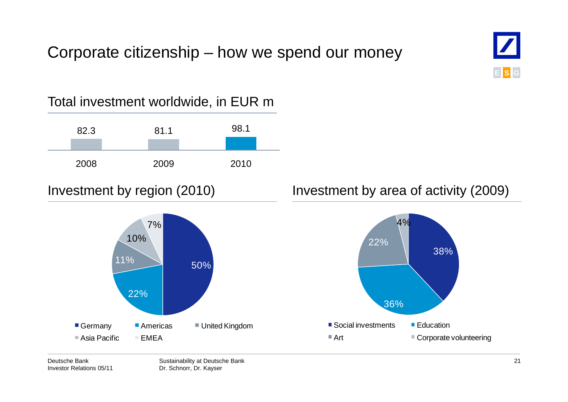#### Corporate citizenship – how we spend our money





**E**

**SG**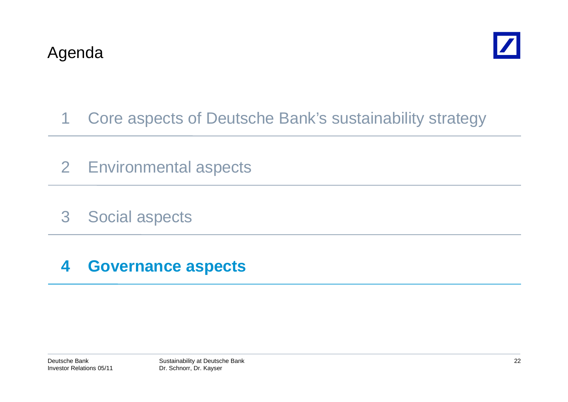

- 1 Core aspects of Deutsche Bank's sustainability strategy
- 2 Environmental aspects
- 3 Social aspects

#### **4 Governance aspects**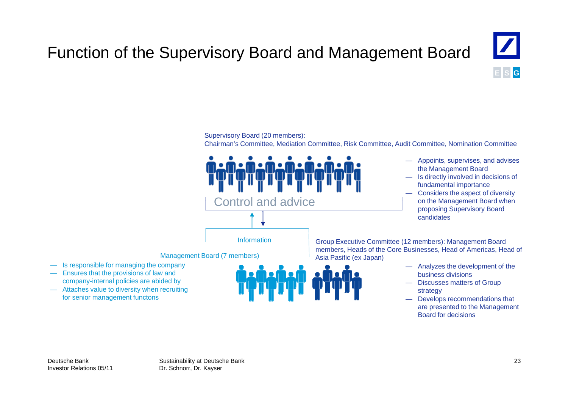## Function of the Supervisory Board and Management Board



#### Supervisory Board (20 members):

Chairman's Committee, Mediation Committee, Risk Committee, Audit Committee, Nomination Committee



- Appoints, supervises, and advises the Management Board
- Is directly involved in decisions of fundamental importance
- Considers the aspect of diversity on the Management Board when proposing Supervisory Board candidates

Group Executive Committee (12 members): Management Board members, Heads of the Core Businesses, Head of Americas, Head of

- Analyzes the development of the business divisions
- Attaches value to diversity when recruiting the strategy of the strategy of the strategy of the strategy — Discusses matters of Group
	- for senior management functons **Example 20** and the senior management functons that are presented to the Management Board for decisions

— Is responsible for managing the company — Ensures that the provisions of law and company-internal policies are abided by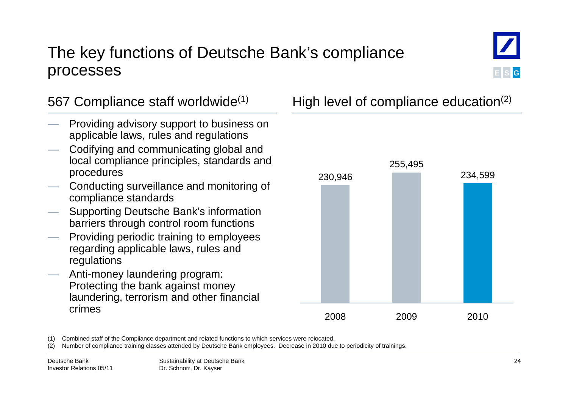#### The key functions of Deutsche Bank's compliance processes



- Providing advisory support to business on applicable laws, rules and regulations
- Codifying and communicating global and local compliance principles, standards and procedures
- Conducting surveillance and monitoring of compliance standards
- Supporting Deutsche Bank's information barriers through control room functions
- Providing periodic training to employees regarding applicable laws, rules and regulations
- Anti-money laundering program: Protecting the bank against money laundering, terrorism and other financial crimes

567 Compliance staff worldwide<sup>(1)</sup> High level of compliance education<sup>(2)</sup>



(1) Combined staff of the Compliance department and related functions to which services were relocated relocated.

(2) Number of compliance training classes attended by Deutsche Bank employees. Decrease in 2010 due to periodicity of trainings.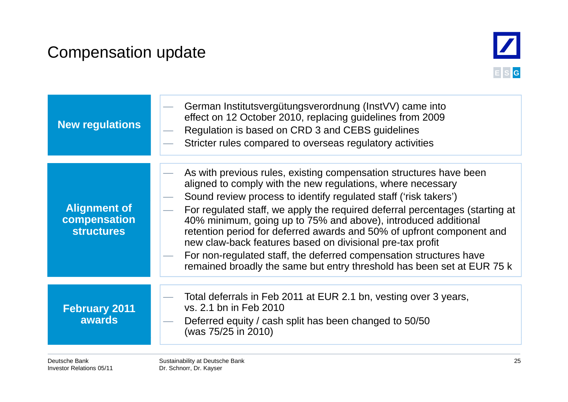### Compensation update



| New regulations                                          | German Institutsvergütungsverordnung (InstVV) came into<br>effect on 12 October 2010, replacing guidelines from 2009<br>Regulation is based on CRD 3 and CEBS guidelines<br>Stricter rules compared to overseas regulatory activities                                                                                                                                                                                                                                                                                                                                                                                                         |
|----------------------------------------------------------|-----------------------------------------------------------------------------------------------------------------------------------------------------------------------------------------------------------------------------------------------------------------------------------------------------------------------------------------------------------------------------------------------------------------------------------------------------------------------------------------------------------------------------------------------------------------------------------------------------------------------------------------------|
| <b>Alignment of</b><br>compensation<br><b>structures</b> | As with previous rules, existing compensation structures have been<br>aligned to comply with the new regulations, where necessary<br>Sound review process to identify regulated staff ('risk takers')<br>For regulated staff, we apply the required deferral percentages (starting at<br>40% minimum, going up to 75% and above), introduced additional<br>retention period for deferred awards and 50% of upfront component and<br>new claw-back features based on divisional pre-tax profit<br>For non-regulated staff, the deferred compensation structures have<br>remained broadly the same but entry threshold has been set at EUR 75 k |
| <b>February 2011</b><br><b>awards</b>                    | Total deferrals in Feb 2011 at EUR 2.1 bn, vesting over 3 years,<br>vs. 2.1 bn in Feb 2010<br>Deferred equity / cash split has been changed to 50/50<br>(was 75/25 in 2010)                                                                                                                                                                                                                                                                                                                                                                                                                                                                   |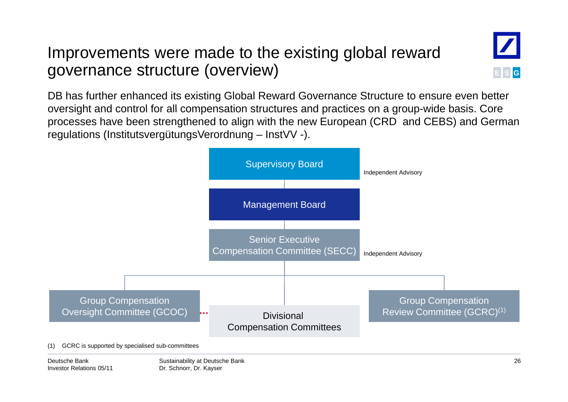#### Improvements were made to the existing global reward governance structure (overview) )**<sup>E</sup>**



DB has further enhanced its existing Global Reward Governance Structure to ensure even better oversight and control for all compensation structures and practices on a group-wide basis. Core processes have been strengthened to align with the new European (CRD and CEBS) and German regulations (InstitutsvergütungsVerordnung – InstVV -).

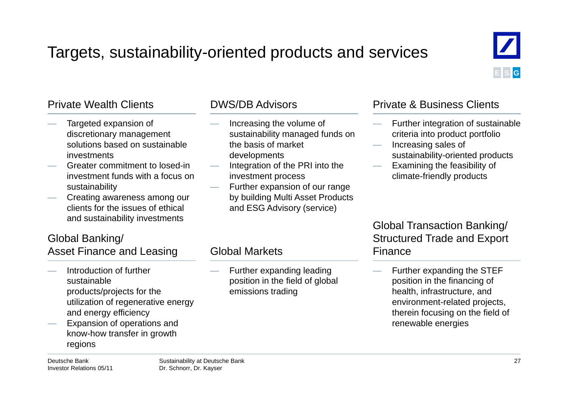### Targets, sustainability-oriented products and services



- Targeted expansion of discretionary management solutions based on sustainable investments
- Greater commitment to losed-in investment funds with a focus on sustainability
- Creating awareness among our clients for the issues of ethical and sustainability investments

#### Global Banking/ Asset Finance and Leasing

- Introduction of further sustainableproducts/projects for the utilization of regenerative energy and energy efficiency
- Expansion of operations and know-how transfer in growth g regions

- Increasing the volume of sustainability managed funds on the basis of market developments
- Integration of the PRI into the investment process
- Further expansion of our range by building Multi Asset Products and ESG Advisory (service)

 Further expanding leading position in the field of global

emissions trading

Global Markets

#### Private Wealth Clients **DWS/DB** Advisors **Private & Business Clients**

- Further integration of sustainable criteria into product portfolio
- Increasing sales of s the sustainability-oriented products
	- Examining the feasibility of climate-friendly products

#### Global Transaction Banking/ Structured Trade and Export Finance

 Further expanding the STEF position in the financing of health, infrastructure, and environment-related projects, therein focusing on the field of renewable energies

Deutsche BankInvestor Relations 05/11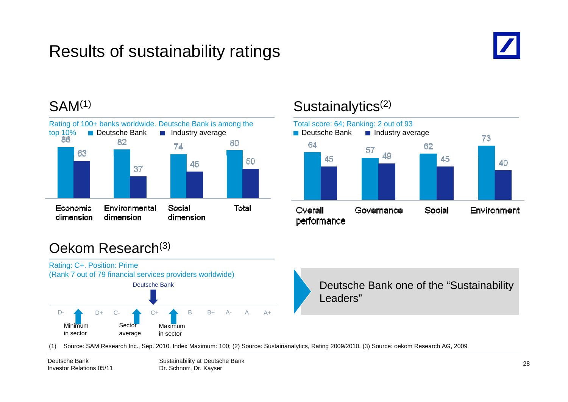## Results of sustainability ratings



#### SAM<sup>(1)</sup>



#### Sustainalytics<sup>(2)</sup>



#### Oekom Research(3)



(1) Source: SAM Research Inc., Sep. 2010. Index Maximum: 100; (2) Source: Sustainanalytics, Rating 2009/2010, (3) Source: oekom Research AG, 2009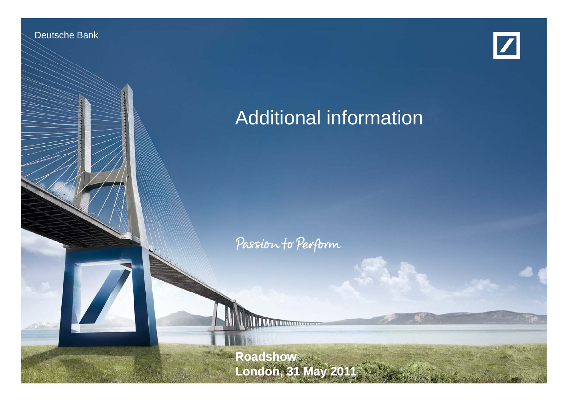

Deutsche Bank und deutsche

Investor Relations 05/11



## Additional information

Passion to Perform

Sustainability at Deutsche Bank **Roadshow London, 31 May 2011**

Dr. Schnorr, Dr. Kayser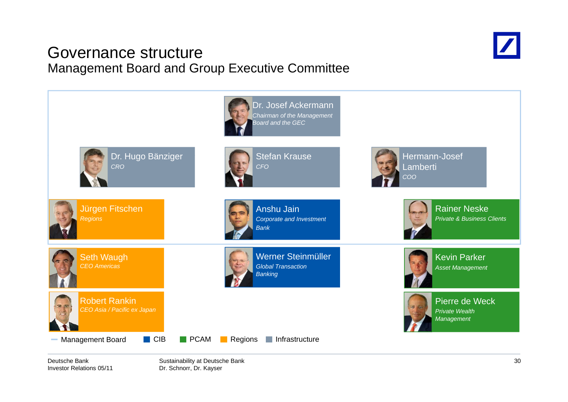#### Governance structureManagement Board and Group Executive Committee





Deutsche BankInvestor Relations 05/11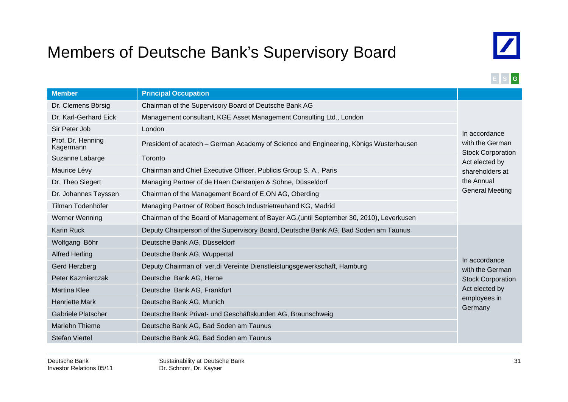### Members of Deutsche Bank's Supervisory Board



**E S G**

| <b>Member</b>                  | <b>Principal Occupation</b>                                                                                                                      |                                             |  |
|--------------------------------|--------------------------------------------------------------------------------------------------------------------------------------------------|---------------------------------------------|--|
| Dr. Clemens Börsig             | Chairman of the Supervisory Board of Deutsche Bank AG                                                                                            |                                             |  |
| Dr. Karl-Gerhard Eick          | Management consultant, KGE Asset Management Consulting Ltd., London                                                                              |                                             |  |
| Sir Peter Job                  | London                                                                                                                                           | In accordance                               |  |
| Prof. Dr. Henning<br>Kagermann | President of acatech - German Academy of Science and Engineering, Königs Wusterhausen                                                            | with the German<br><b>Stock Corporation</b> |  |
| Suzanne Labarge                | Toronto<br>Act elected by                                                                                                                        |                                             |  |
| Maurice Lévy                   | Chairman and Chief Executive Officer, Publicis Group S. A., Paris                                                                                | shareholders at                             |  |
| Dr. Theo Siegert               | Managing Partner of de Haen Carstanjen & Söhne, Düsseldorf                                                                                       | the Annual                                  |  |
| Dr. Johannes Teyssen           | <b>General Meeting</b><br>Chairman of the Management Board of E.ON AG, Oberding<br>Managing Partner of Robert Bosch Industrietreuhand KG, Madrid |                                             |  |
| Tilman Todenhöfer              |                                                                                                                                                  |                                             |  |
| Werner Wenning                 | Chairman of the Board of Management of Bayer AG, (until September 30, 2010), Leverkusen                                                          |                                             |  |
| <b>Karin Ruck</b>              | Deputy Chairperson of the Supervisory Board, Deutsche Bank AG, Bad Soden am Taunus                                                               |                                             |  |
| Wolfgang Böhr                  | Deutsche Bank AG, Düsseldorf                                                                                                                     |                                             |  |
| <b>Alfred Herling</b>          | Deutsche Bank AG, Wuppertal                                                                                                                      | In accordance                               |  |
| Gerd Herzberg                  | Deputy Chairman of ver.di Vereinte Dienstleistungsgewerkschaft, Hamburg                                                                          | with the German                             |  |
| Peter Kazmierczak              | Deutsche Bank AG, Herne                                                                                                                          | <b>Stock Corporation</b>                    |  |
| <b>Martina Klee</b>            | Deutsche Bank AG, Frankfurt                                                                                                                      | Act elected by                              |  |
| <b>Henriette Mark</b>          | employees in<br>Deutsche Bank AG, Munich                                                                                                         |                                             |  |
| <b>Gabriele Platscher</b>      | Deutsche Bank Privat- und Geschäftskunden AG, Braunschweig                                                                                       | Germany                                     |  |
| <b>Marlehn Thieme</b>          | Deutsche Bank AG, Bad Soden am Taunus                                                                                                            |                                             |  |
| <b>Stefan Viertel</b>          | Deutsche Bank AG, Bad Soden am Taunus                                                                                                            |                                             |  |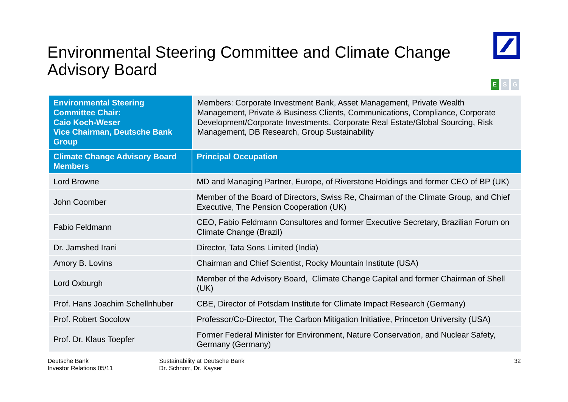### Environmental Steering Committee and Climate Change Advisory Board



#### **E S G**

| <b>Environmental Steering</b><br><b>Committee Chair:</b><br><b>Caio Koch-Weser</b><br><b>Vice Chairman, Deutsche Bank</b><br><b>Group</b> | Members: Corporate Investment Bank, Asset Management, Private Wealth<br>Management, Private & Business Clients, Communications, Compliance, Corporate<br>Development/Corporate Investments, Corporate Real Estate/Global Sourcing, Risk<br>Management, DB Research, Group Sustainability |  |
|-------------------------------------------------------------------------------------------------------------------------------------------|------------------------------------------------------------------------------------------------------------------------------------------------------------------------------------------------------------------------------------------------------------------------------------------|--|
| <b>Climate Change Advisory Board</b><br><b>Members</b>                                                                                    | <b>Principal Occupation</b>                                                                                                                                                                                                                                                              |  |
| <b>Lord Browne</b>                                                                                                                        | MD and Managing Partner, Europe, of Riverstone Holdings and former CEO of BP (UK)                                                                                                                                                                                                        |  |
| John Coomber                                                                                                                              | Member of the Board of Directors, Swiss Re, Chairman of the Climate Group, and Chief<br>Executive, The Pension Cooperation (UK)                                                                                                                                                          |  |
| <b>Fabio Feldmann</b>                                                                                                                     | CEO, Fabio Feldmann Consultores and former Executive Secretary, Brazilian Forum on<br>Climate Change (Brazil)                                                                                                                                                                            |  |
| Dr. Jamshed Irani                                                                                                                         | Director, Tata Sons Limited (India)                                                                                                                                                                                                                                                      |  |
| Amory B. Lovins                                                                                                                           | Chairman and Chief Scientist, Rocky Mountain Institute (USA)                                                                                                                                                                                                                             |  |
| Lord Oxburgh                                                                                                                              | Member of the Advisory Board, Climate Change Capital and former Chairman of Shell<br>(UK)                                                                                                                                                                                                |  |
| Prof. Hans Joachim Schellnhuber                                                                                                           | CBE, Director of Potsdam Institute for Climate Impact Research (Germany)                                                                                                                                                                                                                 |  |
| <b>Prof. Robert Socolow</b>                                                                                                               | Professor/Co-Director, The Carbon Mitigation Initiative, Princeton University (USA)                                                                                                                                                                                                      |  |
| Prof. Dr. Klaus Toepfer                                                                                                                   | Former Federal Minister for Environment, Nature Conservation, and Nuclear Safety,<br>Germany (Germany)                                                                                                                                                                                   |  |
| Dautecha Rank                                                                                                                             | ٩C<br>Suctainability at Deuteche Rank                                                                                                                                                                                                                                                    |  |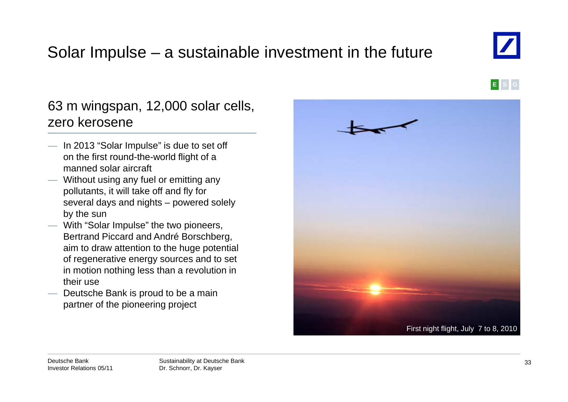### Solar Impulse – a sustainable investment in the future

#### 63 <sup>m</sup> wingspan, 12,000 solar cells, zero kerosene

- In 2013 "Solar Impulse" is due to set off on the first round-the-world flight of a manned solar aircraft
- Without using any fuel or emitting any pollutants, it will take off and fly for several days and nights – powered solely by the sun
- With "Solar Impulse" the two pioneers, Bertrand Piccard and André Borschberg, aim to draw attention to the huge potential of regenerative energy sources and to set in motion nothing less than a revolution in their use
- $-$  Deutsche Bank is proud to be a main partner of the pioneering project





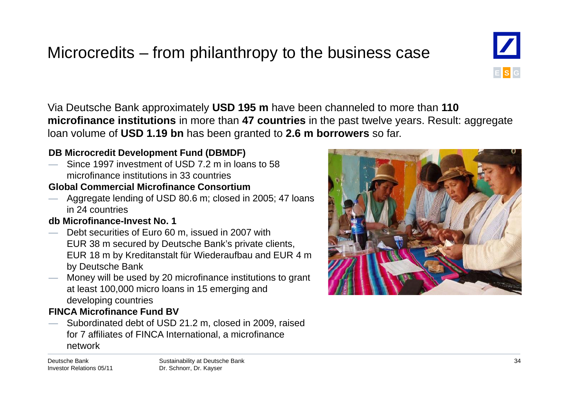### Microcredits – from philanthropy to the business case

Via Deutsche Bank approximately **USD 195 <sup>m</sup>** have been channeled to more than **110 microfinance institutions** in more than **47 countries** in the past twelve years. Result: aggregate loan volume of **USD 1.19 bn** has been granted to **2.6 m borrowers** so far.

#### **DB Microcredit Development Fund (DBMDF)**

 Since 1997 investment of USD 7.2 m in loans to 58 microfinance institutions in 33 countries

#### **Global Commercial Microfinance Consortium**

— Aggregate lending of USD 80.6 m; closed in 2005; 47 loans in 24 countries

#### **db Microfinance-Invest No. 1**

- Debt securities of Euro 60 m, issued in 2007 with EUR 38 m secured by Deutsche Bank's private clients, EUR 18 m by Kreditanstalt für Wiederaufbau and EUR 4 m by Deutsche Bank
- Money will be used by 20 microfinance institutions to grant at least 100,000 micro loans in 15 emerging and developing countries

#### **FINCA Microfinance Fund BV**

 Subordinated debt of USD 21.2 m, closed in 2009, raised for 7 affiliates of FINCA International, a microfinance for 7 affiliates of FINCA International, a microfinance<br>network

Deutsche BankInvestor Relations 05/11



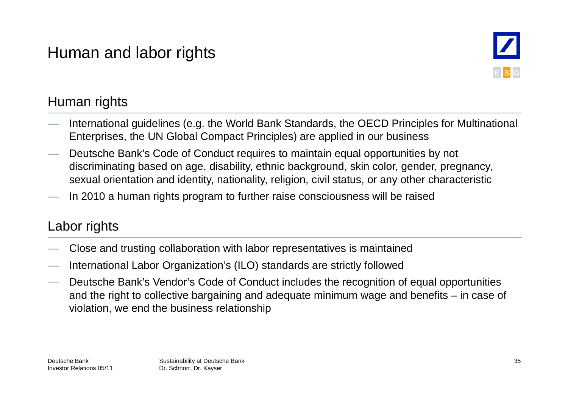### Human and labor rights



#### Human rights

- International guidelines (e.g. the World Bank Standards, the OECD Principles for Multinational Enterprises, the UN Global Compact Principles) are applied in our business
- Deutsche Bank's Code of Conduct requires to maintain equal opportunities by not discriminating based on age, disability, ethnic background, skin color, gender, pregnancy, sexual orientation and identity, nationality, religion, civil status, or any other characteristic
- In 2010 a human rights program to further raise consciousness will be raised

#### Labor rights

- Close and trusting collaboration with labor representatives is maintained<br>— International Labor Organization's (ILO) standards are strictly followed
- International Labor Organization's (ILO) standards are strictly followed
- Deutsche Bank's Vendor's Code of Conduct includes the recognition of equal opportunities and the right to collective bargaining and adequate minimum wage and benefits – in case of violation, we end the business relationship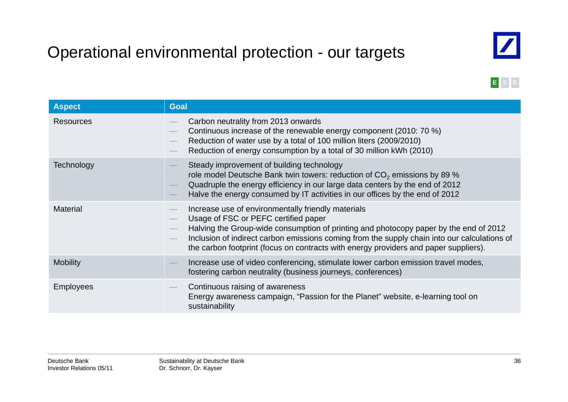## Operational environmental protection - our targets



**E S G**

| <b>Aspect</b>    | <b>Goal</b>                                                                                                                                                                                                                                                                                                                                                                 |
|------------------|-----------------------------------------------------------------------------------------------------------------------------------------------------------------------------------------------------------------------------------------------------------------------------------------------------------------------------------------------------------------------------|
| <b>Resources</b> | Carbon neutrality from 2013 onwards<br>Continuous increase of the renewable energy component (2010: 70 %)<br>Reduction of water use by a total of 100 million liters (2009/2010)<br>Reduction of energy consumption by a total of 30 million kWh (2010)                                                                                                                     |
| Technology       | Steady improvement of building technology<br>role model Deutsche Bank twin towers: reduction of $CO2$ emissions by 89 %<br>Quadruple the energy efficiency in our large data centers by the end of 2012<br>Halve the energy consumed by IT activities in our offices by the end of 2012                                                                                     |
| <b>Material</b>  | Increase use of environmentally friendly materials<br>Usage of FSC or PEFC certified paper<br>Halving the Group-wide consumption of printing and photocopy paper by the end of 2012<br>Inclusion of indirect carbon emissions coming from the supply chain into our calculations of<br>the carbon footprint (focus on contracts with energy providers and paper suppliers). |
| <b>Mobility</b>  | Increase use of video conferencing, stimulate lower carbon emission travel modes,<br>fostering carbon neutrality (business journeys, conferences)                                                                                                                                                                                                                           |
| <b>Employees</b> | Continuous raising of awareness<br>Energy awareness campaign, "Passion for the Planet" website, e-learning tool on<br>sustainability                                                                                                                                                                                                                                        |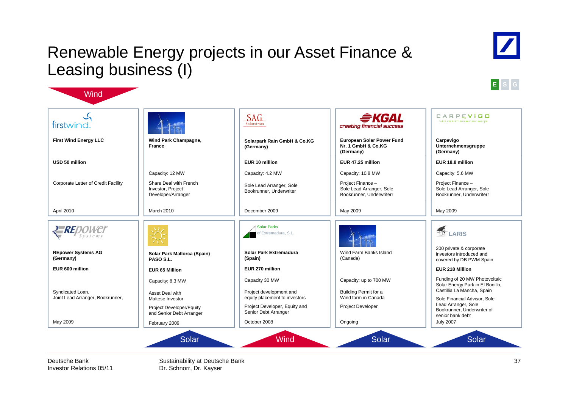#### Renewable Energy projects in our Asset Finance & Leasing business (I)





| firstwind.                                           |                                                                                 | SAG<br>Solarstrom                                        | <i><del>拿</del>KGAL</i><br>creating financial success                    | CARPEVIGO<br>nutze die kraft erneuerbarer energie                                                     |
|------------------------------------------------------|---------------------------------------------------------------------------------|----------------------------------------------------------|--------------------------------------------------------------------------|-------------------------------------------------------------------------------------------------------|
| <b>First Wind Energy LLC</b>                         | Wind Park Champagne,<br><b>France</b>                                           | Solarpark Rain GmbH & Co.KG<br>(Germany)                 | <b>European Solar Power Fund</b><br>Nr. 1 GmbH & Co.KG<br>(Germany)      | Carpevigo<br>Unternehmensgruppe<br>(Germany)                                                          |
| USD 50 million                                       |                                                                                 | EUR 10 million                                           | EUR 47.25 million                                                        | EUR 18.8 million                                                                                      |
|                                                      | Capacity: 12 MW                                                                 | Capacity: 4.2 MW                                         | Capacity: 10.8 MW                                                        | Capacity: 5.6 MW                                                                                      |
| Corporate Letter of Credit Facility                  | Share Deal with French<br>Investor, Project<br>Developer/Arranger               | Sole Lead Arranger, Sole<br>Bookrunner, Underwriter      | Project Finance-<br>Sole Lead Arranger, Sole<br>Bookrunner, Underwriterr | Project Finance-<br>Sole Lead Arranger, Sole<br>Bookrunner, Underwriterr                              |
| April 2010                                           | March 2010                                                                      | December 2009                                            | May 2009                                                                 | May 2009                                                                                              |
| $P$ RE<br>Systems                                    |                                                                                 | <b>Solar Parks</b><br>of Extremadura, S.L.               |                                                                          | LARIS                                                                                                 |
| <b>REpower Systems AG</b><br>(Germany)               | Solar Park Mallorca (Spain)<br>PASO S.L.                                        | Solar Park Extremadura<br>(Spain)                        | Wind Farm Banks Island<br>(Canada)                                       | 200 private & corporate<br>investors introduced and<br>covered by DB PWM Spain                        |
| EUR 600 million                                      | <b>EUR 65 Million</b>                                                           | EUR 270 million                                          |                                                                          | EUR 218 Million                                                                                       |
|                                                      | Capacity: 8.3 MW                                                                | Capacity 30 MW                                           | Capacity: up to 700 MW                                                   | Funding of 20 MW Photovoltaic<br>Solar Energy Park in El Bonillo,                                     |
| Syndicated Loan,<br>Joint Lead Arranger, Bookrunner, | Asset Deal with                                                                 | Project development and<br>equity placement to investors | Building Permit for a<br>Wind farm in Canada                             | Castillia La Mancha, Spain                                                                            |
|                                                      | Maltese Investor<br><b>Project Developer/Equity</b><br>and Senior Debt Arranger | Project Developer, Equity and<br>Senior Debt Arranger    | <b>Project Developer</b>                                                 | Sole Financial Advisor, Sole<br>Lead Arranger, Sole<br>Bookrunner, Underwriter of<br>senior bank debt |
| May 2009                                             | February 2009                                                                   | October 2008                                             | Ongoing                                                                  | <b>July 2007</b>                                                                                      |

Deutsche BankInvestor Relations 05/11

**Wind** 

Sustainability at Deutsche Bank Dr. Schnorr, Dr. Kayser

37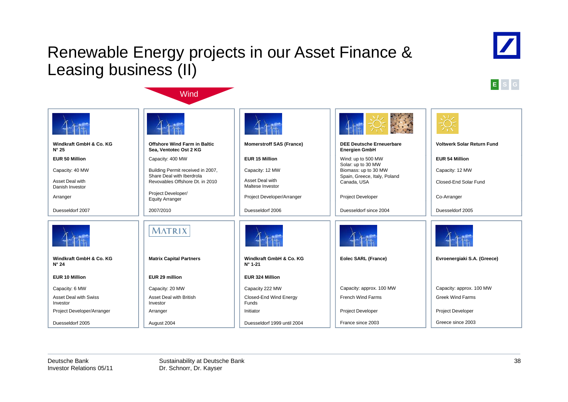### Renewable Energy projects in our Asset Finance & Leasing business (II)

**Wind** 





|                                           |                                                               |                                             | $4 + 56 =$                                              |                                   |
|-------------------------------------------|---------------------------------------------------------------|---------------------------------------------|---------------------------------------------------------|-----------------------------------|
| Windkraft GmbH & Co. KG<br>$N^{\circ} 25$ | <b>Offshore Wind Farm in Baltic</b><br>Sea, Ventotec Ost 2 KG | <b>Momerstroff SAS (France)</b>             | <b>DEE Deutsche Erneuerbare</b><br><b>Energien GmbH</b> | <b>Voltwerk Solar Return Fund</b> |
| <b>EUR 50 Million</b>                     | Capacity: 400 MW                                              | <b>EUR 15 Million</b>                       | Wind: up to 500 MW                                      | <b>EUR 54 Million</b>             |
| Capacity: 40 MW                           | Building Permit received in 2007,                             | Capacity: 12 MW                             | Solar: up to 30 MW<br>Biomass: up to 30 MW              | Capacity: 12 MW                   |
| Asset Deal with<br>Danish Investor        | Share Deal with Iberdrola<br>Revovables Offshore Dt. in 2010  | Asset Deal with<br>Maltese Investor         | Spain, Greece, Italy, Poland<br>Canada, USA             | Closed-End Solar Fund             |
| Arranger                                  | Project Developer/<br><b>Equity Arranger</b>                  | Project Developer/Arranger                  | Project Developer                                       | Co-Arranger                       |
| Duesseldorf 2007                          | 2007/2010                                                     | Duesseldorf 2006                            | Duesseldorf since 2004                                  | Duesseldorf 2005                  |
|                                           | MATRIX                                                        |                                             |                                                         |                                   |
| Windkraft GmbH & Co. KG<br>$N^{\circ} 24$ | <b>Matrix Capital Partners</b>                                | Windkraft GmbH & Co. KG<br>$N^{\circ}$ 1-21 | Eolec SARL (France)                                     | Evroenergiaki S.A. (Greece)       |
| <b>EUR 10 Million</b>                     | EUR 29 million                                                | EUR 324 Million                             |                                                         |                                   |
| Capacity: 6 MW                            | Capacity: 20 MW                                               | Capacity 222 MW                             | Capacity: approx. 100 MW                                | Capacity: approx. 100 MW          |
| <b>Asset Deal with Swiss</b><br>Investor  | Asset Deal with British<br>Investor                           | Closed-End Wind Energy<br>Funds             | French Wind Farms                                       | <b>Greek Wind Farms</b>           |
| Project Developer/Arranger                | Arranger                                                      | Initiator                                   | Project Developer                                       | Project Developer                 |
| Duesseldorf 2005                          | August 2004                                                   | Duesseldorf 1999 until 2004                 | France since 2003                                       | Greece since 2003                 |

Deutsche BankInvestor Relations 05/11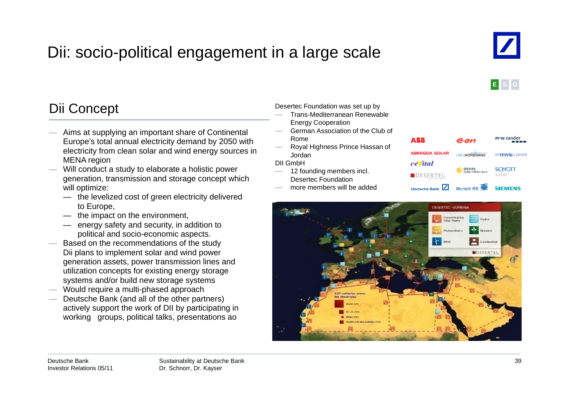## Dii: socio-political engagement in a large scale



**E S G**

#### Dii Concept Desertec Foundation was set u Concept

- Aims at supplying an important share of Continental Europe's total annual electricity demand by 2050 with electricity from clean solar and wind energy sources in  $\overline{\phantom{a}}$  Borda<br>MENA region DII GmbH MENA region
- Will conduct a study to elaborate a holistic power generation, transmission and storage concept which will optimize:
	- the levelized cost of green electricity delivered to Europe,
	- the impact on the environment,
	- energy safety and security, in addition to political and socio-economic aspects.
- $-\hspace{0.1cm}$  Based on the recommendations of the study Dii plans to implement solar and wind power generation assets, power transmission lines and utilization concepts for existing energy storage systems and/or build new storage systems
- $-$  Would require a multi-phased approach
- Deutsche Bank (and all of the other partners) actively support the work of DII by participating in working groups, political talks, presentations ao

p b y p

- Trans-Mediterranean Renewable Energy Cooperation
- German Association of the Club of Rome
- Royal Highness Prince Hassan of Jordan

- 12 founding members incl. Desertec Foundation
- more members will be added



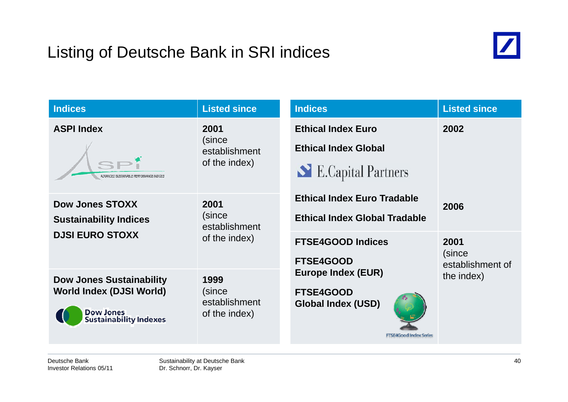### Listing of Deutsche Bank in SRI indices



| <b>Indices</b>                                                                                                          | <b>Listed since</b>                              | <b>Indices</b>                                                                                              | <b>Listed since</b>                |
|-------------------------------------------------------------------------------------------------------------------------|--------------------------------------------------|-------------------------------------------------------------------------------------------------------------|------------------------------------|
| <b>ASPI Index</b><br>ADVANCED SUSTAINABLE PERFORMANCE INDICES                                                           | 2001<br>(since<br>establishment<br>of the index) | <b>Ethical Index Euro</b><br><b>Ethical Index Global</b><br>E.Capital Partners                              | 2002                               |
| <b>Dow Jones STOXX</b><br><b>Sustainability Indices</b><br><b>DJSI EURO STOXX</b>                                       | 2001<br>(since<br>establishment                  | <b>Ethical Index Euro Tradable</b><br><b>Ethical Index Global Tradable</b>                                  | 2006                               |
|                                                                                                                         | of the index)                                    | <b>FTSE4GOOD Indices</b><br><b>FTSE4GOOD</b>                                                                | 2001<br>(since<br>establishment of |
| <b>Dow Jones Sustainability</b><br><b>World Index (DJSI World)</b><br><b>Dow Jones</b><br><b>Sustainability Indexes</b> | 1999<br>(since<br>establishment<br>of the index) | <b>Europe Index (EUR)</b><br><b>FTSE4GOOD</b><br><b>Global Index (USD)</b><br><b>FTSE4Good Index Series</b> | the index)                         |

Deutsche BankInvestor Relations 05/11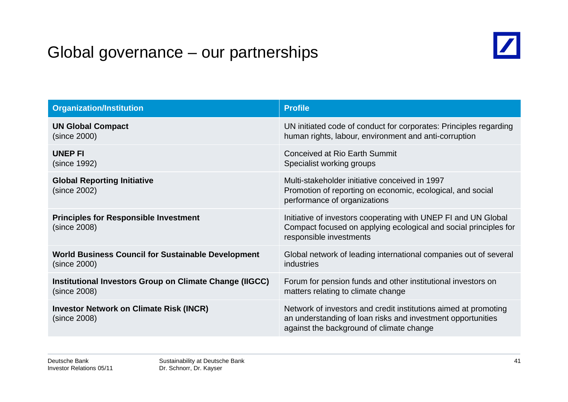### Global governance – our partnerships



| <b>Organization/Institution</b>                                | <b>Profile</b>                                                                                                                                                             |
|----------------------------------------------------------------|----------------------------------------------------------------------------------------------------------------------------------------------------------------------------|
| <b>UN Global Compact</b>                                       | UN initiated code of conduct for corporates: Principles regarding                                                                                                          |
| (since 2000)                                                   | human rights, labour, environment and anti-corruption                                                                                                                      |
| <b>UNEP FI</b>                                                 | Conceived at Rio Earth Summit                                                                                                                                              |
| (since 1992)                                                   | Specialist working groups                                                                                                                                                  |
| <b>Global Reporting Initiative</b><br>(since 2002)             | Multi-stakeholder initiative conceived in 1997<br>Promotion of reporting on economic, ecological, and social<br>performance of organizations                               |
| <b>Principles for Responsible Investment</b><br>(since 2008)   | Initiative of investors cooperating with UNEP FI and UN Global<br>Compact focused on applying ecological and social principles for<br>responsible investments              |
| <b>World Business Council for Sustainable Development</b>      | Global network of leading international companies out of several                                                                                                           |
| (since 2000)                                                   | industries                                                                                                                                                                 |
| Institutional Investors Group on Climate Change (IIGCC)        | Forum for pension funds and other institutional investors on                                                                                                               |
| (since 2008)                                                   | matters relating to climate change                                                                                                                                         |
| <b>Investor Network on Climate Risk (INCR)</b><br>(since 2008) | Network of investors and credit institutions aimed at promoting<br>an understanding of loan risks and investment opportunities<br>against the background of climate change |